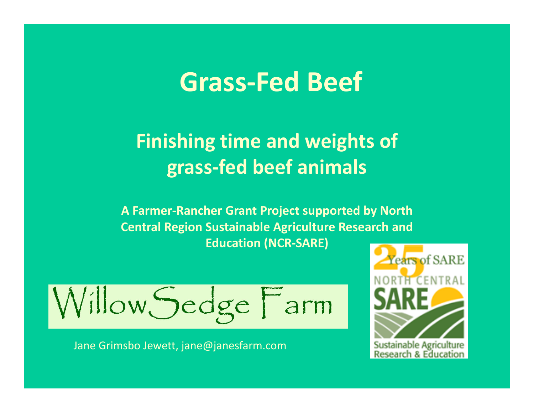### **Grass‐Fed Beef**

### **Finishing time and weights of grass‐fed beef animals**

**A Farmer‐Rancher Grant Project supported by North Central Region Sustainable Agriculture Research and Education (NCR‐SARE)**

Jane Grimsbo Jewett, jane@janesfarm.com

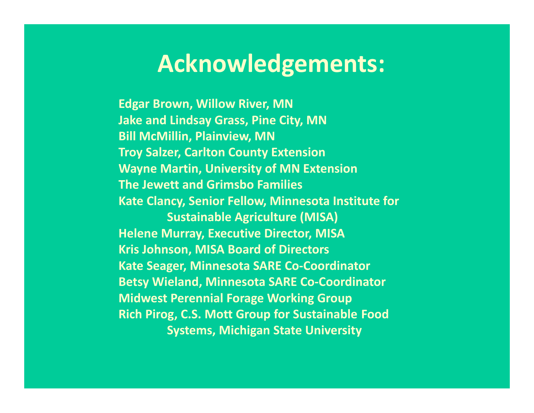### **Acknowledgements:**

**Edgar Brown, Willow River, MN Jake and Lindsay Grass, Pine City, MN Bill McMillin, Plainview, MN Troy Salzer, Carlton County Extension Wayne Martin, University of MN Extension The Jewett and Grimsbo Families Kate Clancy, Senior Fellow, Minnesota Institute for Sustainable Agriculture (MISA) Helene Murray, Executive Director, MISA Kris Johnson, MISA Board of Directors Kate Seager, Minnesota SARE Co ‐Coordinator Betsy Wieland, Minnesota SARE Co ‐Coordinator Midwest Perennial Forage Working Group Rich Pirog, C.S. Mott Group for Sustainable Food Systems, Michigan State University**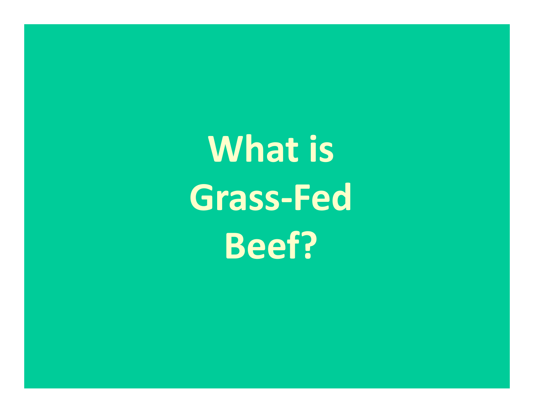**What is Grass ‐Fed Beef?**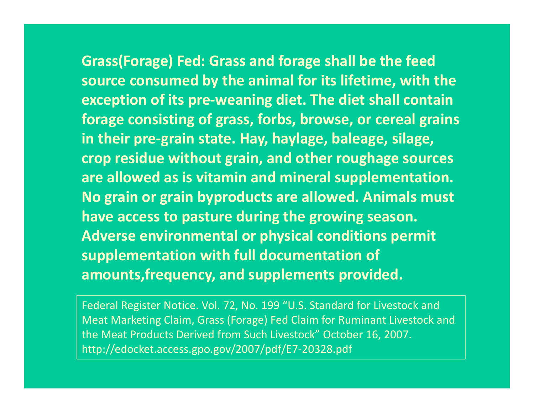**Grass(Forage) Fed: Grass and forage shall be the feed source consumed by the animal for its lifetime, with the exception of its pre‐weaning diet. The diet shall contain forage consisting of grass, forbs, browse, or cereal grains in their pre‐grain state. Hay, haylage, baleage, silage, crop residue without grain, and other roughage sources are allowed as is vitamin and mineral supplementation. No grain or grain byproducts are allowed. Animals must have access to pasture during the growing season. Adverse environmental or physical conditions permit supplementation with full documentation of amounts,frequency, and supplements provided.**

Federal Register Notice. Vol. 72, No. 199 "U.S. Standard for Livestock and Meat Marketing Claim, Grass (Forage) Fed Claim for Ruminant Livestock and the Meat Products Derived from Such Livestock" October 16, 2007. http://edocket.access.gpo.gov/2007/pdf/E7‐20328.pdf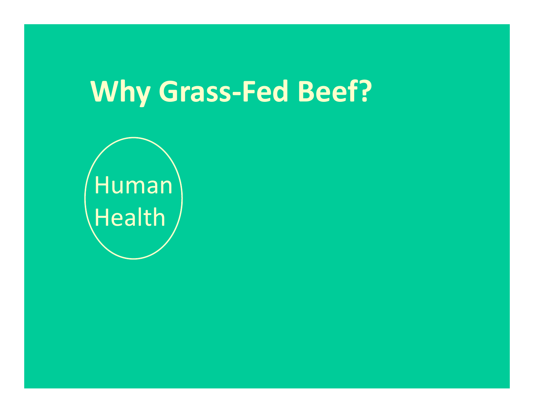Human Health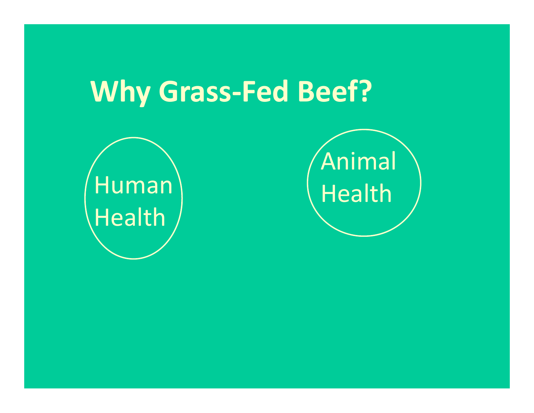

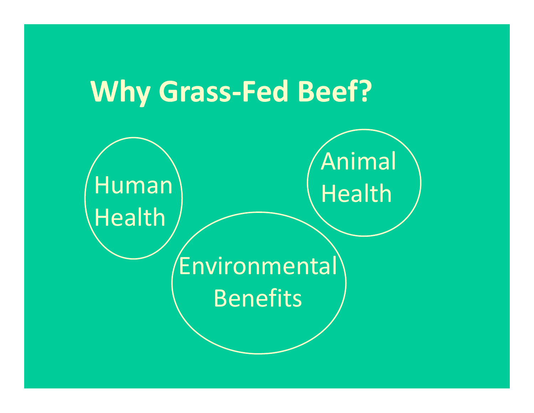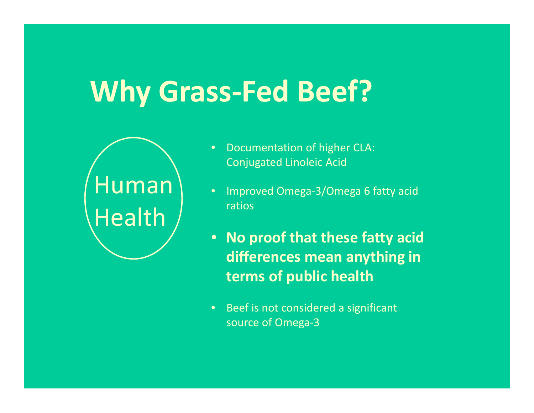

- •**•** Documentation of higher CLA: Conjugated Linoleic Acid
- • Improved Omega‐3/Omega 6 fatty acid ratios
- $\bullet$  **No proof that these fatty acid differences mean anything in terms of public health**
- $\bullet$ • Beef is not considered a significant source of Omega‐3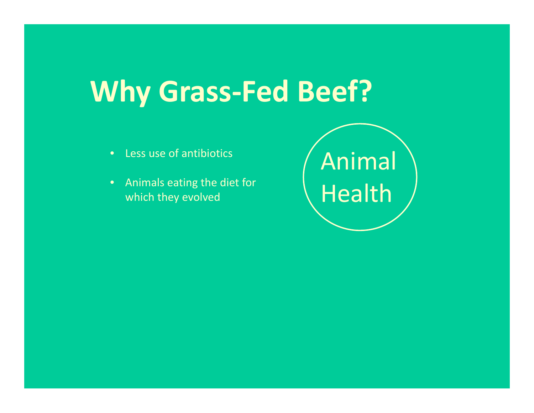- •Less use of antibiotics
- • Animals eating the diet for which they evolved

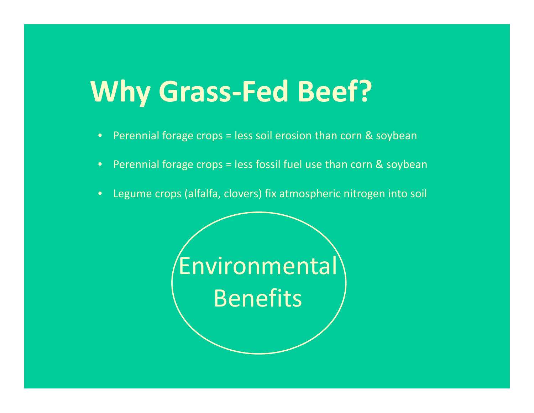- •Perennial forage crops <sup>=</sup> less soil erosion than corn & soybean
- $\bullet$ Perennial forage crops <sup>=</sup> less fossil fuel use than corn & soybean
- •Legume crops (alfalfa, clovers) fix atmospheric nitrogen into soil

Environmental Benefits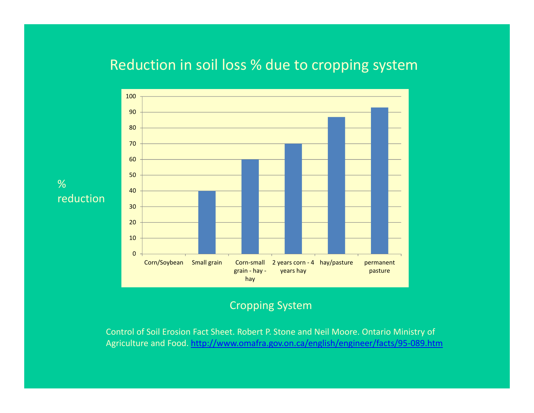#### Reduction in soil loss % due to cropping system



#### Cropping System

Control of Soil Erosion Fact Sheet. Robert P. Stone and Neil Moore. Ontario Ministry of Agriculture and Food. http://www.omafra.gov.on.ca/english/engineer/facts/95‐089.htm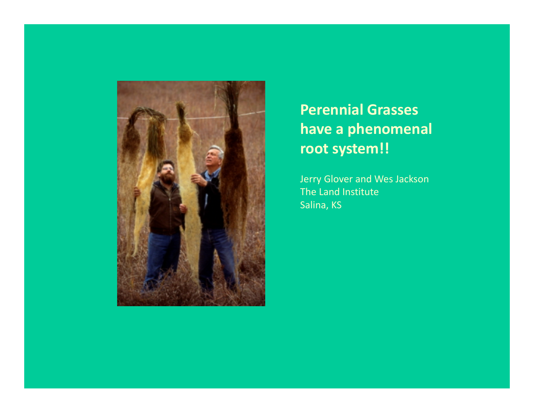

### **Perennial Grasses have a phenomenal root system!!**

Jerry Glover and Wes Jackson The Land Institute Salina, KS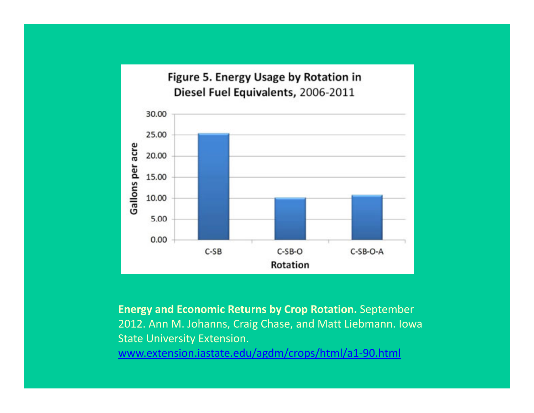

**Energy and Economic Returns by Crop Rotation.** September 2012. Ann M. Johanns, Craig Chase, and Matt Liebmann. Iowa State University Extension.

www.extension.iastate.edu/agdm/crops/html/a1‐90.html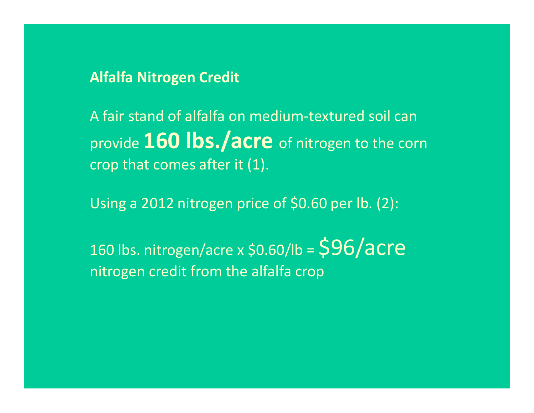#### **Alfalfa Nitrogen Credit**

A fair stand of alfalfa on medium‐textured soil can provide **160 lbs./acre** of nitrogen to the corn crop that comes after it (1).

Using <sup>a</sup> 2012 nitrogen price of \$0.60 per lb. (2):

160 lbs. nitrogen/acre x \$0.60/lb =  $\mathsf{\$96/acre}$ nitrogen credit from the alfalfa crop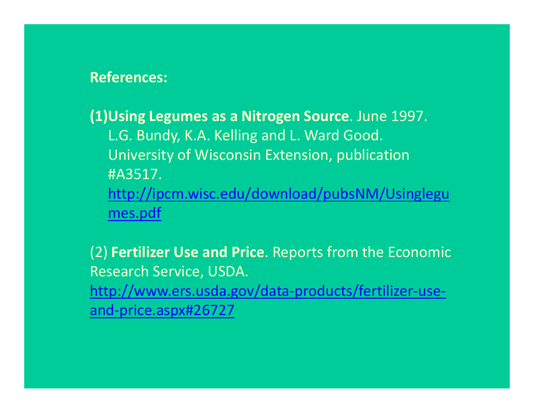#### **References:**

**(1)Using Legumes as <sup>a</sup> Nitrogen Source**. June 1997. L.G. Bundy, K.A. Kelling and L. Ward Good. University of Wisconsin Extension, publication #A3517.http://ipcm.wisc.edu/download/pubsNM/Usinglegu mes.pdf

(2) **Fertilizer Use and Price**. Reports from the Economic Research Service, USDA. http://www.ers.usda.gov/data‐products/fertilizer‐use‐ and‐price.aspx#26727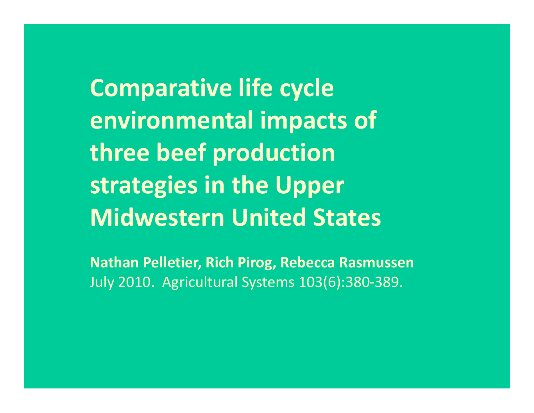**Comparative life cycle environmental impacts of three beef production strategies in the Upper Midwestern United States**

**Nathan Pelletier, Rich Pirog, Rebecca Rasmussen** July 2010. Agricultural Systems 103(6):380‐389.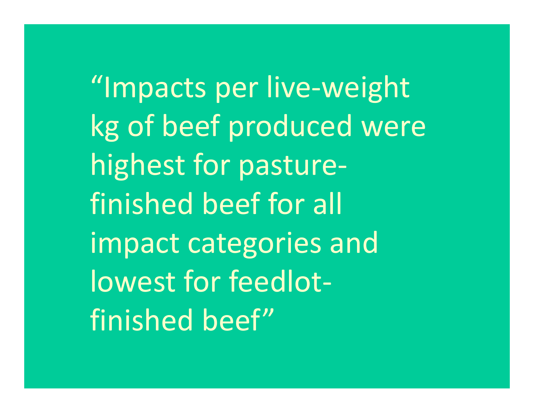"Impacts per live-weight kg of beef produced were highest for pasture‐ finished beef for all impact categories and lowest for feedlot‐ finished beef"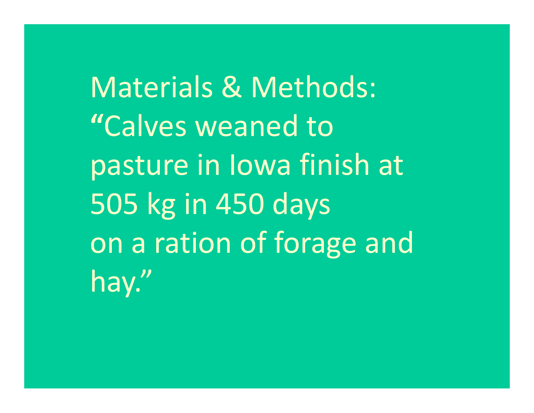Materials & Methods: **"**Calves weaned topasture in Iowa finish at 505 kg in 450 days on <sup>a</sup> ration of forage and hay."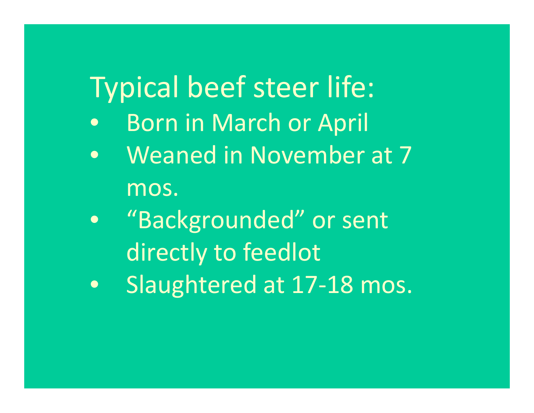# Typical beef steer life:

- $\bullet$ **•** Born in March or April
- $\bullet$  Weaned in November at 7 mos.
- $\bullet$  "Backgrounded" or sent directly to feedlot
- $\bullet$ Slaughtered at 17‐18 mos.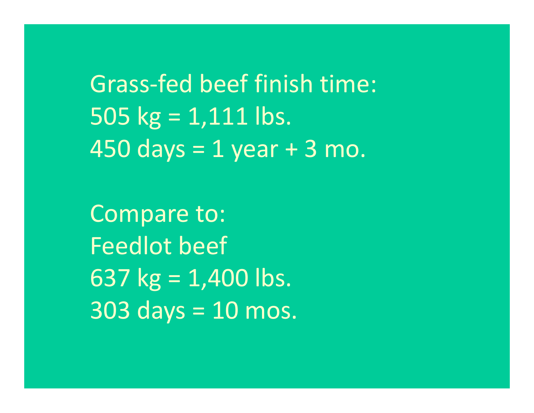Grass‐fed beef finish time: 505 kg <sup>=</sup> 1,111 lbs. 450 days <sup>=</sup> 1 year <sup>+</sup> 3 mo.

Compare to: Feedlot beef 637 kg <sup>=</sup> 1,400 lbs. 303 days <sup>=</sup> 10 mos.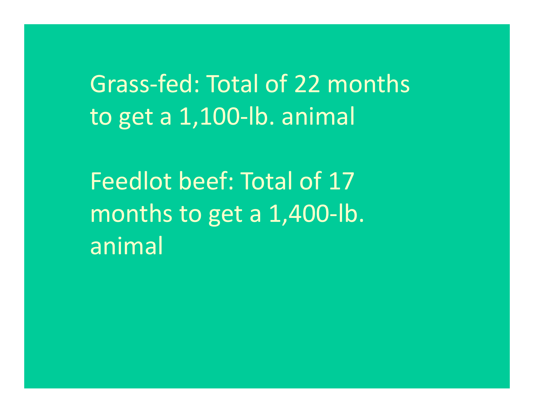Grass‐fed: Total of 22 months to get <sup>a</sup> 1,100‐lb. animal

Feedlot beef: Total of 17months to get <sup>a</sup> 1,400‐lb. animal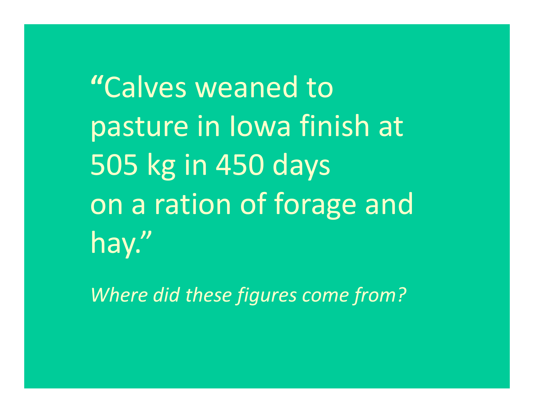**"**Calves weaned topasture in Iowa finish at 505 kg in 450 days on <sup>a</sup> ration of forage and hay."

*Where did these figures come from?*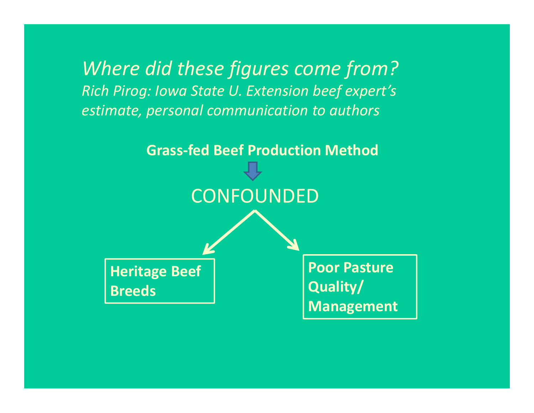*Where did these figures come from? Rich Pirog: Iowa State U. Extension beef expert's estimate, personal communication to authors*

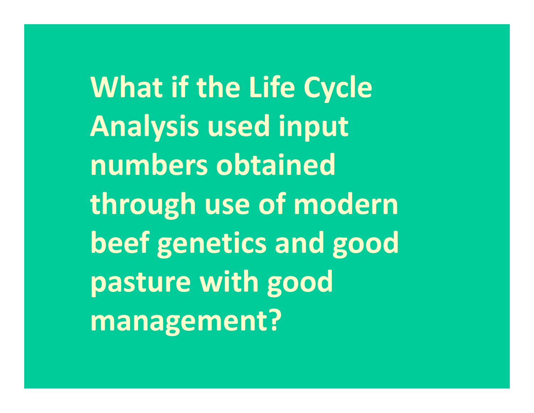**What if the Life Cycle Analysis used input numbers obtained through use of modern beef genetics and good pasture with good management?**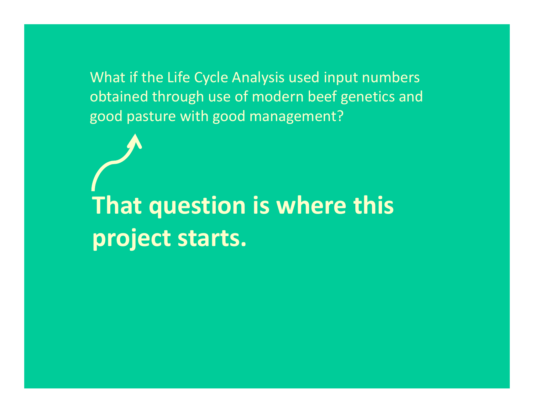What if the Life Cycle Analysis used input numbers obtained through use of modern beef genetics and good pasture with good management?

**That question is where this project starts.**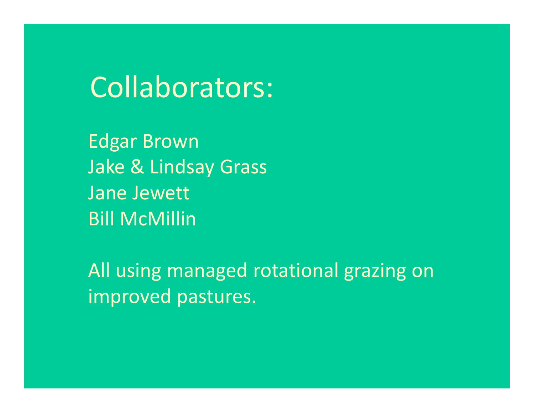## Collaborators:

Edgar Brown Jake & Lindsay Grass Jane Jewett Bill McMillin

All using managed rotational grazing on improved pastures.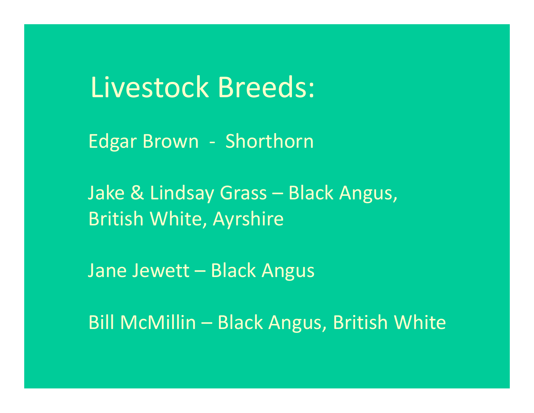Livestock Breeds:

Edgar Brown ‐ Shorthorn

Jake & Lindsay Grass – Black Angus, British White, Ayrshire

Jane Jewett – Black Angus

Bill McMillin – Black Angus, British White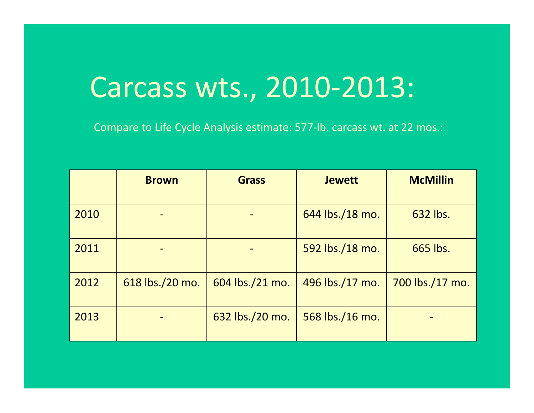Compare to Life Cycle Analysis estimate: 577‐lb. carcass wt. at 22 mos.:

|      | <b>Brown</b>    | <b>Grass</b>    | <b>Jewett</b>   | <b>McMillin</b> |
|------|-----------------|-----------------|-----------------|-----------------|
| 2010 |                 |                 | 644 lbs./18 mo. | 632 lbs.        |
| 2011 |                 |                 | 592 lbs./18 mo. | 665 lbs.        |
| 2012 | 618 lbs./20 mo. | 604 lbs./21 mo. | 496 lbs./17 mo. | 700 lbs./17 mo. |
| 2013 |                 | 632 lbs./20 mo. | 568 lbs./16 mo. |                 |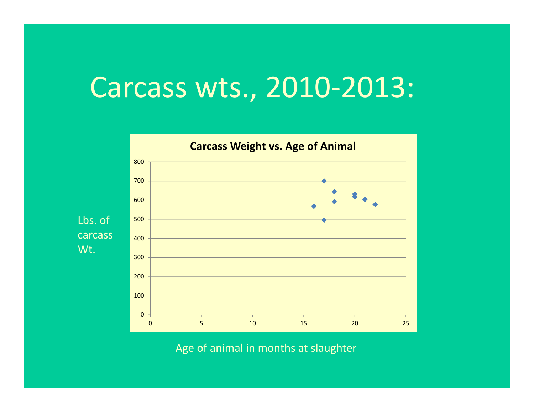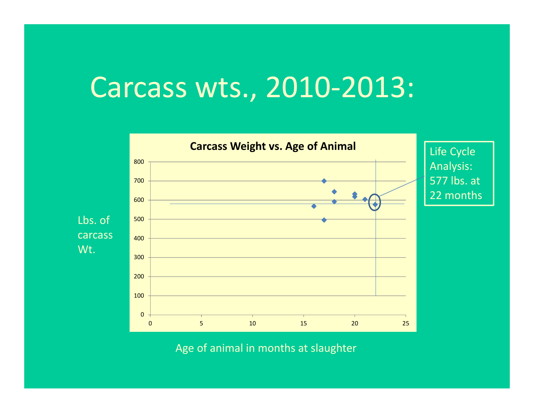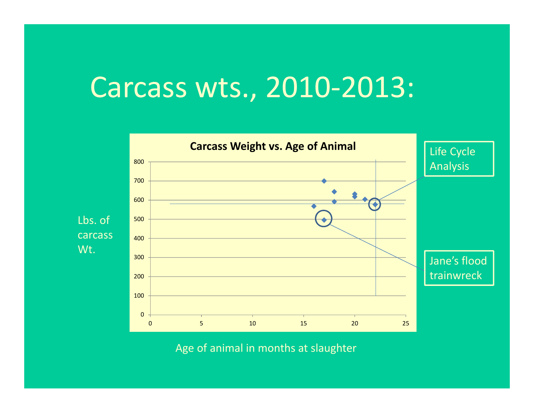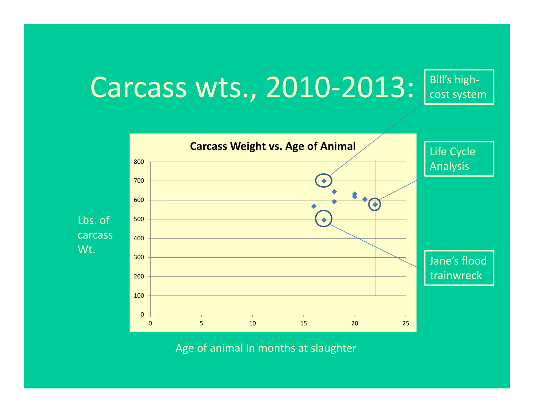#### Carcass wts., 2010‐2013: Bill's high‐ cost system

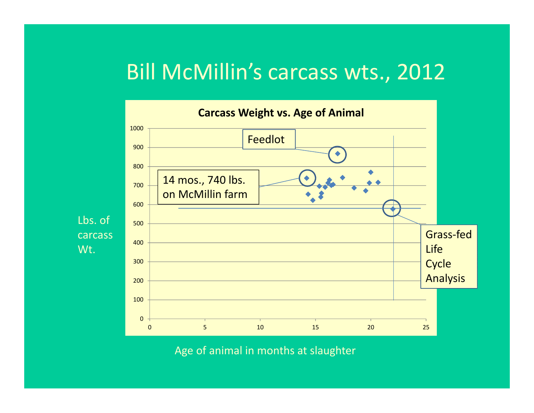### Bill McMillin's carcass wts., 2012

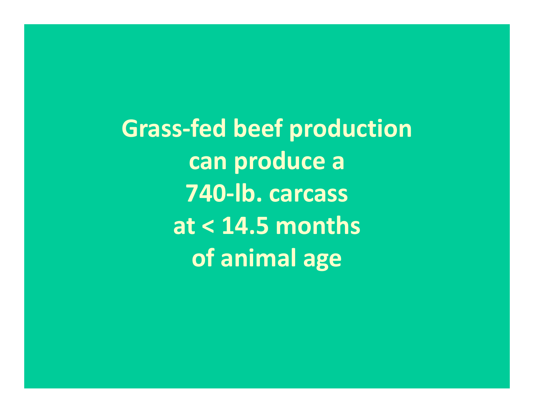**Grass‐fed beef production can produce <sup>a</sup> 740‐lb. carcass at < 14.5 months of animal age**